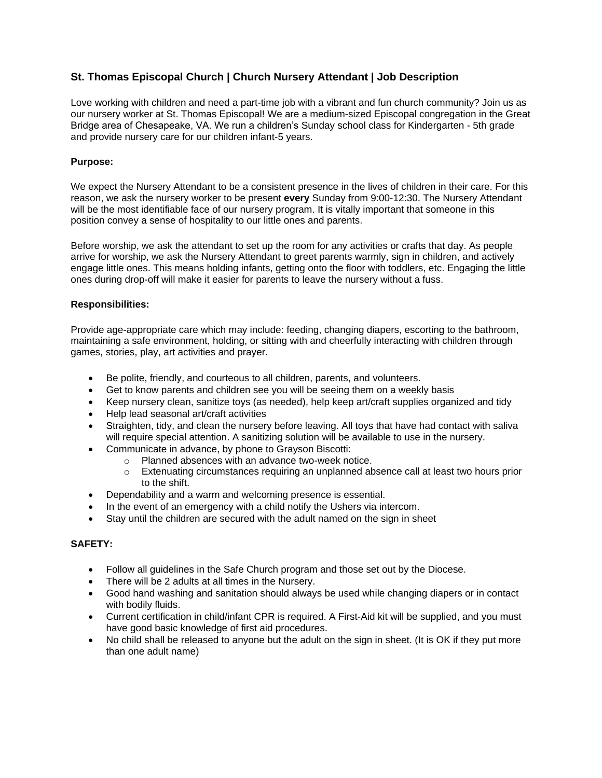# **St. Thomas Episcopal Church | Church Nursery Attendant | Job Description**

Love working with children and need a part-time job with a vibrant and fun church community? Join us as our nursery worker at St. Thomas Episcopal! We are a medium-sized Episcopal congregation in the Great Bridge area of Chesapeake, VA. We run a children's Sunday school class for Kindergarten - 5th grade and provide nursery care for our children infant-5 years.

### **Purpose:**

We expect the Nursery Attendant to be a consistent presence in the lives of children in their care. For this reason, we ask the nursery worker to be present **every** Sunday from 9:00-12:30. The Nursery Attendant will be the most identifiable face of our nursery program. It is vitally important that someone in this position convey a sense of hospitality to our little ones and parents.

Before worship, we ask the attendant to set up the room for any activities or crafts that day. As people arrive for worship, we ask the Nursery Attendant to greet parents warmly, sign in children, and actively engage little ones. This means holding infants, getting onto the floor with toddlers, etc. Engaging the little ones during drop-off will make it easier for parents to leave the nursery without a fuss.

#### **Responsibilities:**

Provide age-appropriate care which may include: feeding, changing diapers, escorting to the bathroom, maintaining a safe environment, holding, or sitting with and cheerfully interacting with children through games, stories, play, art activities and prayer.

- Be polite, friendly, and courteous to all children, parents, and volunteers.
- Get to know parents and children see you will be seeing them on a weekly basis
- Keep nursery clean, sanitize toys (as needed), help keep art/craft supplies organized and tidy
- Help lead seasonal art/craft activities
- Straighten, tidy, and clean the nursery before leaving. All toys that have had contact with saliva will require special attention. A sanitizing solution will be available to use in the nursery.
- Communicate in advance, by phone to Grayson Biscotti:
	- o Planned absences with an advance two-week notice.
	- $\circ$  Extenuating circumstances requiring an unplanned absence call at least two hours prior to the shift.
- Dependability and a warm and welcoming presence is essential.
- In the event of an emergency with a child notify the Ushers via intercom.
- Stay until the children are secured with the adult named on the sign in sheet

# **SAFETY:**

- Follow all guidelines in the Safe Church program and those set out by the Diocese.
- There will be 2 adults at all times in the Nursery.
- Good hand washing and sanitation should always be used while changing diapers or in contact with bodily fluids.
- Current certification in child/infant CPR is required. A First-Aid kit will be supplied, and you must have good basic knowledge of first aid procedures.
- No child shall be released to anyone but the adult on the sign in sheet. (It is OK if they put more than one adult name)